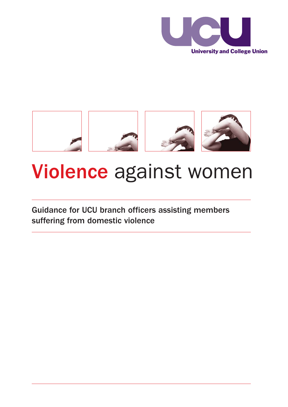



# Violence against women

Guidance for UCU branch officers assisting members suffering from domestic violence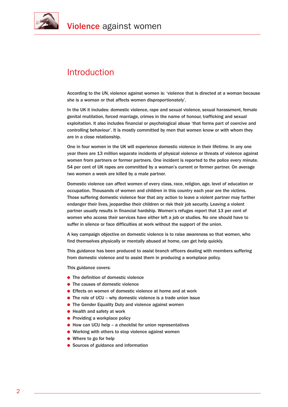

## **Introduction**

According to the UN, violence against women is: 'violence that is directed at a woman because she is a woman or that affects women disproportionately'.

In the UK it includes: domestic violence, rape and sexual violence, sexual harassment, female genital mutilation, forced marriage, crimes in the name of honour, trafficking and sexual exploitation. It also includes financial or psychological abuse 'that forms part of coercive and controlling behaviour'. It is mostly committed by men that women know or with whom they are in a close relationship.

One in four women in the UK will experience domestic violence in their lifetime. In any one year there are 13 million separate incidents of physical violence or threats of violence against women from partners or former partners. One incident is reported to the police every minute. 54 per cent of UK rapes are committed by a woman's current or former partner. On average two women a week are killed by a male partner.

Domestic violence can affect women of every class, race, religion, age, level of education or occupation. Thousands of women and children in this country each year are the victims. Those suffering domestic violence fear that any action to leave a violent partner may further endanger their lives, jeopardise their children or risk their job security. Leaving a violent partner usually results in financial hardship. Women's refuges report that 13 per cent of women who access their services have either left a job or studies. No one should have to suffer in silence or face difficulties at work without the support of the union.

A key campaign objective on domestic violence is to raise awareness so that women, who find themselves physically or mentally abused at home, can get help quickly.

This guidance has been produced to assist branch officers dealing with members suffering from domestic violence and to assist them in producing a workplace policy.

This guidance covers:

- $\bullet$  The definition of domestic violence
- $\bullet$  The causes of domestic violence
- **.** Effects on women of domestic violence at home and at work
- The role of UCU why domestic violence is a trade union issue
- **The Gender Equality Duty and violence against women**
- $\bullet$  Health and safety at work
- $\bullet$  Providing a workplace policy
- $\bullet$  How can UCU help a checklist for union representatives
- $\bullet$  Working with others to stop violence against women
- $\bullet$  Where to go for help
- **.** Sources of guidance and information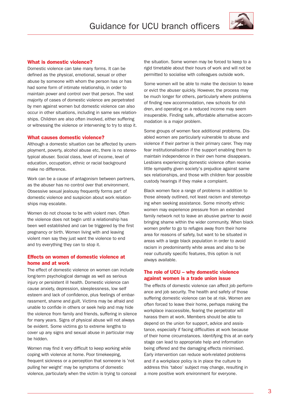

### What is domestic violence?

Domestic violence can take many forms. It can be defined as the physical, emotional, sexual or other abuse by someone with whom the person has or has had some form of intimate relationship, in order to maintain power and control over that person. The vast majority of cases of domestic violence are perpetrated by men against women but domestic violence can also occur in other situations, including in same sex relationships. Children are also often involved, either suffering or witnessing the violence or intervening to try to stop it.

#### What causes domestic violence?

Although a domestic situation can be affected by unemployment, poverty, alcohol abuse etc, there is no stereotypical abuser. Social class, level of income, level of education, occupation, ethnic or racial background make no difference.

Work can be a cause of antagonism between partners, as the abuser has no control over that environment. Obsessive sexual jealousy frequently forms part of domestic violence and suspicion about work relationships may escalate.

Women do not choose to be with violent men. Often the violence does not begin until a relationship has been well established and can be triggered by the first pregnancy or birth. Women living with and leaving violent men say they just want the violence to end and try everything they can to stop it.

### Effects on women of domestic violence at home and at work

The effect of domestic violence on women can include long-term psychological damage as well as serious injury or persistent ill health. Domestic violence can cause anxiety, depression, sleeplessness, low self esteem and lack of confidence, plus feelings of embarrassment, shame and guilt. Victims may be afraid and unable to confide in others or seek help and may hide the violence from family and friends, suffering in silence for many years. Signs of physical abuse will not always be evident. Some victims go to extreme lengths to cover up any signs and sexual abuse in particular may be hidden.

Women may find it very difficult to keep working while coping with violence at home. Poor timekeeping, frequent sickness or a perception that someone is 'not pulling her weight' may be symptoms of domestic violence, particularly when the victim is trying to conceal the situation. Some women may be forced to keep to a rigid timetable about their hours of work and will not be permitted to socialise with colleagues outside work.

Some women will be able to make the decision to leave or evict the abuser quickly. However, the process may be much longer for others, particularly where problems of finding new accommodation, new schools for children, and operating on a reduced income may seem insuperable. Finding safe, affordable alternative accommodation is a major problem.

Some groups of women face additional problems. Disabled women are particularly vulnerable to abuse and violence if their partner is their primary carer. They may fear institutionalisation if the support enabling them to maintain independence in their own home disappears. Lesbians experiencing domestic violence often receive little sympathy given society's prejudice against same sex relationships, and those with children fear possible custody hearings if they make a complaint.

Black women face a range of problems in addition to those already outlined, not least racism and stereotyping when seeking assistance. Some minority ethnic women may experience pressure from an extended family network not to leave an abusive partner to avoid bringing shame within the wider community. When black women prefer to go to refuges away from their home area for reasons of safety, but want to be situated in areas with a large black population in order to avoid racism in predominantly white areas and also to be near culturally specific features, this option is not always available.

### The role of UCU – why domestic violence against women is a trade union issue

The effects of domestic violence can affect job performance and job security. The health and safety of those suffering domestic violence can be at risk. Women are often forced to leave their home, perhaps making the workplace inaccessible, fearing the perpetrator will harass them at work. Members should be able to depend on the union for support, advice and assistance, especially if facing difficulties at work because of their home circumstances. Identifying this at an early stage can lead to appropriate help and information being offered and the damaging effects minimised. Early intervention can reduce work-related problems and if a workplace policy is in place the culture to address this 'taboo' subject may change, resulting in a more positive work environment for everyone.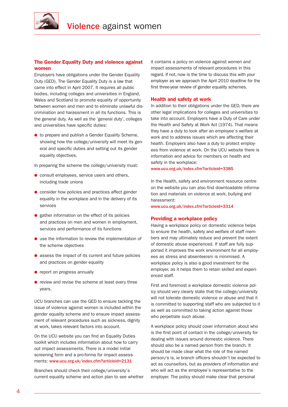

### The Gender Equality Duty and violence against women

Employers have obligations under the Gender Equality Duty (GED). The Gender Equality Duty is a law that came into effect in April 2007. It requires all public bodies, including colleges and universities in England, Wales and Scotland to promote equality of opportunity between women and men and to eliminate unlawful discrimination and harassment in all its functions. This is the general duty. As well as the 'general duty', colleges and universities have specific duties:

 $\bullet$  to prepare and publish a Gender Equality Scheme, showing how the college/university will meet its general and specific duties and setting out its gender equality objectives.

In preparing the scheme the college/university must:

- $\bullet$  consult employees, service users and others, including trade unions
- $\bullet$  consider how policies and practices affect gender equality in the workplace and in the delivery of its services
- **e** gather information on the effect of its policies and practices on men and women in employment, services and performance of its functions
- $\bullet$  use the information to review the implementation of the scheme objectives
- $\bullet$  assess the impact of its current and future policies and practices on gender equality
- **•** report on progress annually
- $\bullet$  review and revise the scheme at least every three years.

UCU branches can use the GED to ensure tackling the issue of violence against women is included within the gender equality scheme and to ensure impact assessment of relevant procedures such as sickness, dignity at work, takes relevant factors into account.

On the UCU website you can find an Equality Duties toolkit which includes information about how to carry out impact assessments. There is a model initial screening form and a pro-forma for impact assessments: www.ucu.org.uk/index.cfm?articleid=2131

Branches should check their college/university's current equality scheme and action plan to see whether it contains a policy on violence against women and impact assessments of relevant procedures in this regard. If not, now is the time to discuss this with your employer as we approach the April 2010 deadline for the first three-year review of gender equality schemes.

### Health and safety at work

In addition to their obligations under the GED, there are other legal implications for colleges and universities to take into account. Employers have a Duty of Care under the Health and Safety at Work Act (1974). That means they have a duty to look after an employee's welfare at work and to address issues which are affecting their health. Employers also have a duty to protect employees from violence at work. On the UCU website there is information and advice for members on health and safety in the workplace:

www.ucu.org.uk/index.cfm?articleid=3385

In the Health, safety and environment resource centre on the website you can also find downloadable information and materials on violence at work, bullying and harassment:

www.ucu.org.uk/index.cfm?articleid=3314

#### Providing a workplace policy

Having a workplace policy on domestic violence helps to ensure the health, safety and welfare of staff members and may ultimately reduce and prevent the extent of domestic abuse experienced. If staff are fully supported it improves the work environment for all employees as stress and absenteeism is minimised. A workplace policy is also a good investment for the employer, as it helps them to retain skilled and experienced staff.

First and foremost a workplace domestic violence policy should very clearly state that the college/university will not tolerate domestic violence or abuse and that it is committed to supporting staff who are subjected to it as well as committed to taking action against those who perpetrate such abuse.

A workplace policy should cover information about who is the first point of contact in the college/university for dealing with issues around domestic violence. There should also be a named person from the branch. It should be made clear what the role of the named person/s is, ie branch officers shouldn't be expected to act as counsellors, but as providers of information and who will act as the employee's representative to the employer. The policy should make clear that personal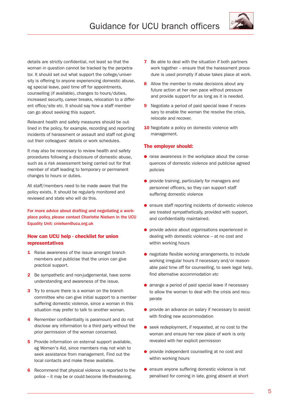

details are strictly confidential, not least so that the woman in question cannot be tracked by the perpetrator. It should set out what support the college/university is offering to anyone experiencing domestic abuse, eg special leave, paid time off for appointments, counselling (if available), changes to hours/duties, increased security, career breaks, relocation to a different office/site etc. It should say how a staff member can go about seeking this support.

Relevant health and safety measures should be outlined in the policy, for example, recording and reporting incidents of harassment or assault and staff not giving out their colleagues' details or work schedules.

It may also be necessary to review health and safety procedures following a disclosure of domestic abuse, such as a risk assessment being carried out for that member of staff leading to temporary or permanent changes to hours or duties.

All staff/members need to be made aware that the policy exists. It should be regularly monitored and reviewed and state who will do this.

For more advice about drafting and negotiating a workplace policy, please contact Charlotte Nielsen in the UCU Equality Unit: cnielsen@ucu.org.uk

### How can UCU help - checklist for union representatives

- **1** Raise awareness of the issue amongst branch members and publicise that the union can give practical support.
- 2 Be sympathetic and non-judgemental, have some understanding and awareness of the issue.
- **3** Try to ensure there is a woman on the branch committee who can give initial support to a member suffering domestic violence, since a woman in this situation may prefer to talk to another woman.
- 4 Remember confidentiality is paramount and do not disclose any information to a third party without the prior permission of the woman concerned.
- **5** Provide information on external support available. eg Women's Aid, since members may not wish to seek assistance from management. Find out the local contacts and make these available.
- 6 Recommend that physical violence is reported to the police – it may be or could become life-threatening.
- **7** Be able to deal with the situation if both partners work together – ensure that the harassment procedure is used promptly if abuse takes place at work.
- 8 Allow the member to make decisions about any future action at her own pace without pressure and provide support for as long as it is needed.
- **9** Negotiate a period of paid special leave if necessary to enable the woman the resolve the crisis, relocate and recover.
- **10** Negotiate a policy on domestic violence with management.

### The employer should:

- $\bullet$  raise awareness in the workplace about the consequences of domestic violence and publicise agreed policies
- **.** provide training, particularly for managers and personnel officers, so they can support staff suffering domestic violence
- **.** ensure staff reporting incidents of domestic violence are treated sympathetically, provided with support, and confidentiality maintained.
- **.** provide advice about organisations experienced in dealing with domestic violence – at no cost and within working hours
- **.** negotiate flexible working arrangements, to include working irregular hours if necessary and/or reasonable paid time off for counselling, to seek legal help, find alternative accommodation etc
- $\bullet$  arrange a period of paid special leave if necessary to allow the woman to deal with the crisis and recuperate
- **.** provide an advance on salary if necessary to assist with finding new accommodation
- seek redeployment, if requested, at no cost to the woman and ensure her new place of work is only revealed with her explicit permission
- **.** provide independent counselling at no cost and within working hours
- **.** ensure anyone suffering domestic violence is not penalised for coming in late, going absent at short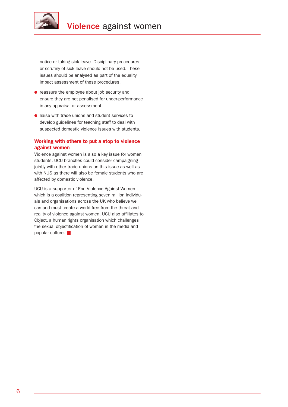

notice or taking sick leave. Disciplinary procedures or scrutiny of sick leave should not be used. These issues should be analysed as part of the equality impact assessment of these procedures.

- **.** reassure the employee about job security and ensure they are not penalised for under-performance in any appraisal or assessment
- $\bullet$  liaise with trade unions and student services to develop guidelines for teaching staff to deal with suspected domestic violence issues with students.

### Working with others to put a stop to violence against women

Violence against women is also a key issue for women students. UCU branches could consider campaigning jointly with other trade unions on this issue as well as with NUS as there will also be female students who are affected by domestic violence.

UCU is a supporter of End Violence Against Women which is a coalition representing seven million individuals and organisations across the UK who believe we can and must create a world free from the threat and reality of violence against women. UCU also affiliates to Object, a human rights organisation which challenges the sexual objectification of women in the media and popular culture.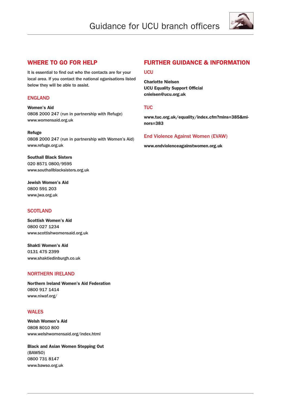# Guidance for UCU branch officers



### WHERE TO GO FOR HELP

It is essential to find out who the contacts are for your local area. If you contact the national oganisations listed below they will be able to assist.

### ENGLAND

Women's Aid 0808 2000 247 (run in partnership with Refuge) www.womensaid.org.uk

### Refuge

0808 2000 247 (run in partnership with Women's Aid) www.refuge.org.uk

Southall Black Sisters 020 8571 0800/9595 www.southallblacksisters.org.uk

Jewish Women's Aid 0800 591 203 www.jwa.org.uk

### **SCOTLAND**

Scottish Women's Aid 0800 027 1234 www.scottishwomensaid.org.uk

Shakti Women's Aid 0131 475 2399 www.shaktiedinburgh.co.uk

### NORTHERN IRELAND

Northern Ireland Women's Aid Federation 0800 917 1414 www.niwaf.org/

### WALES

Welsh Women's Aid 0808 8010 800 www.welshwomensaid.org/index.html

Black and Asian Women Stepping Out (BAWSO) 0800 731 8147 www.bawso.org.uk

### FURTHER GUIDANCE & INFORMATION

### UCU

Charlotte Nielsen UCU Equality Support Official cnielsen@ucu.org.uk

### **TUC**

www.tuc.org.uk/equality/index.cfm?mins=385&minors=383

### End Violence Against Women (EVAW)

www.endviolenceagainstwomen.org.uk